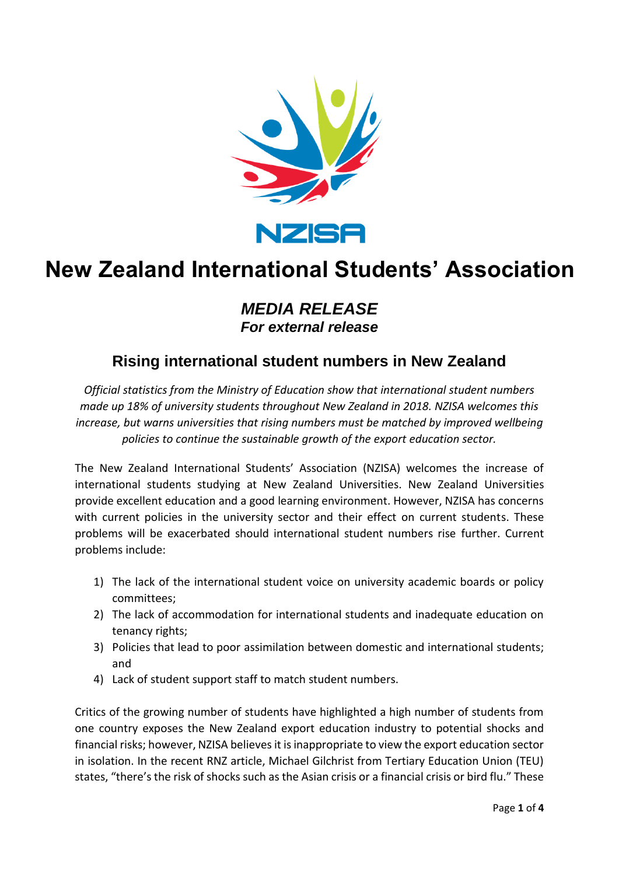

# **New Zealand International Students' Association**

### *MEDIA RELEASE For external release*

## **Rising international student numbers in New Zealand**

*Official statistics from the Ministry of Education show that international student numbers made up 18% of university students throughout New Zealand in 2018. NZISA welcomes this increase, but warns universities that rising numbers must be matched by improved wellbeing policies to continue the sustainable growth of the export education sector.*

The New Zealand International Students' Association (NZISA) welcomes the increase of international students studying at New Zealand Universities. New Zealand Universities provide excellent education and a good learning environment. However, NZISA has concerns with current policies in the university sector and their effect on current students. These problems will be exacerbated should international student numbers rise further. Current problems include:

- 1) The lack of the international student voice on university academic boards or policy committees;
- 2) The lack of accommodation for international students and inadequate education on tenancy rights;
- 3) Policies that lead to poor assimilation between domestic and international students; and
- 4) Lack of student support staff to match student numbers.

Critics of the growing number of students have highlighted a high number of students from one country exposes the New Zealand export education industry to potential shocks and financial risks; however, NZISA believes it is inappropriate to view the export education sector in isolation. In the recent RNZ article, Michael Gilchrist from Tertiary Education Union (TEU) states, "there's the risk of shocks such as the Asian crisis or a financial crisis or bird flu." These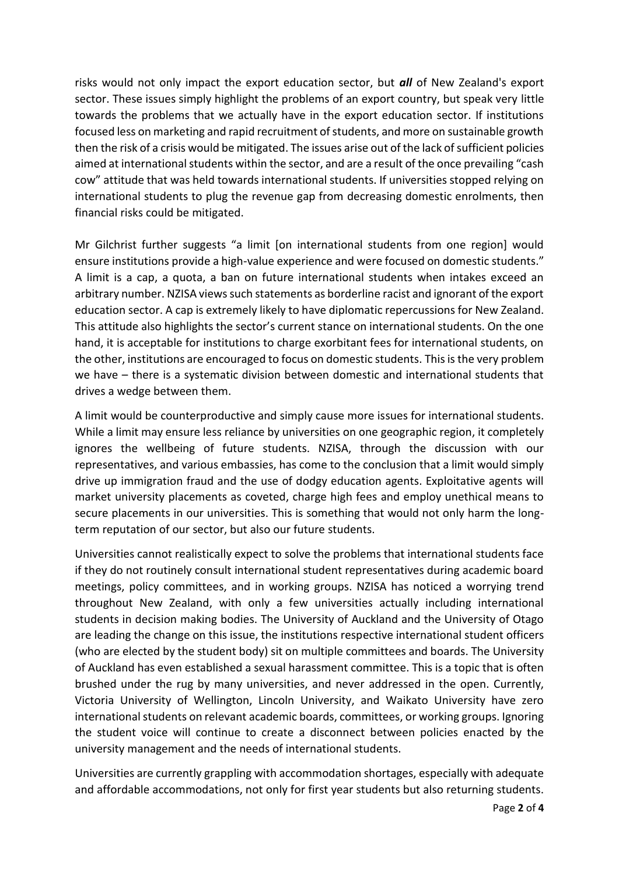risks would not only impact the export education sector, but *all* of New Zealand's export sector. These issues simply highlight the problems of an export country, but speak very little towards the problems that we actually have in the export education sector. If institutions focused less on marketing and rapid recruitment of students, and more on sustainable growth then the risk of a crisis would be mitigated. The issues arise out of the lack of sufficient policies aimed at international students within the sector, and are a result of the once prevailing "cash cow" attitude that was held towards international students. If universities stopped relying on international students to plug the revenue gap from decreasing domestic enrolments, then financial risks could be mitigated.

Mr Gilchrist further suggests "a limit [on international students from one region] would ensure institutions provide a high-value experience and were focused on domestic students." A limit is a cap, a quota, a ban on future international students when intakes exceed an arbitrary number. NZISA views such statements as borderline racist and ignorant of the export education sector. A cap is extremely likely to have diplomatic repercussions for New Zealand. This attitude also highlights the sector's current stance on international students. On the one hand, it is acceptable for institutions to charge exorbitant fees for international students, on the other, institutions are encouraged to focus on domestic students. This is the very problem we have – there is a systematic division between domestic and international students that drives a wedge between them.

A limit would be counterproductive and simply cause more issues for international students. While a limit may ensure less reliance by universities on one geographic region, it completely ignores the wellbeing of future students. NZISA, through the discussion with our representatives, and various embassies, has come to the conclusion that a limit would simply drive up immigration fraud and the use of dodgy education agents. Exploitative agents will market university placements as coveted, charge high fees and employ unethical means to secure placements in our universities. This is something that would not only harm the longterm reputation of our sector, but also our future students.

Universities cannot realistically expect to solve the problems that international students face if they do not routinely consult international student representatives during academic board meetings, policy committees, and in working groups. NZISA has noticed a worrying trend throughout New Zealand, with only a few universities actually including international students in decision making bodies. The University of Auckland and the University of Otago are leading the change on this issue, the institutions respective international student officers (who are elected by the student body) sit on multiple committees and boards. The University of Auckland has even established a sexual harassment committee. This is a topic that is often brushed under the rug by many universities, and never addressed in the open. Currently, Victoria University of Wellington, Lincoln University, and Waikato University have zero international students on relevant academic boards, committees, or working groups. Ignoring the student voice will continue to create a disconnect between policies enacted by the university management and the needs of international students.

Universities are currently grappling with accommodation shortages, especially with adequate and affordable accommodations, not only for first year students but also returning students.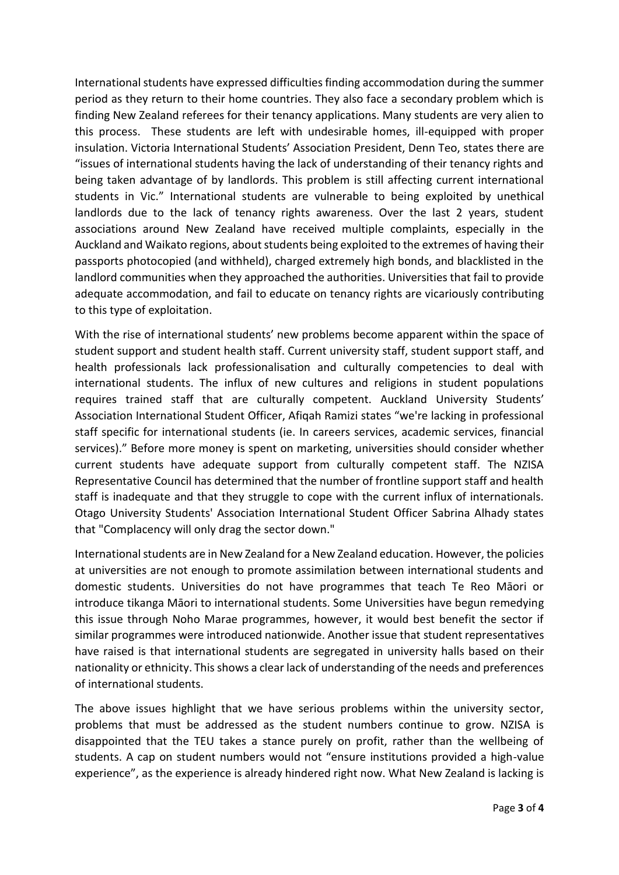International students have expressed difficulties finding accommodation during the summer period as they return to their home countries. They also face a secondary problem which is finding New Zealand referees for their tenancy applications. Many students are very alien to this process. These students are left with undesirable homes, ill-equipped with proper insulation. Victoria International Students' Association President, Denn Teo, states there are "issues of international students having the lack of understanding of their tenancy rights and being taken advantage of by landlords. This problem is still affecting current international students in Vic." International students are vulnerable to being exploited by unethical landlords due to the lack of tenancy rights awareness. Over the last 2 years, student associations around New Zealand have received multiple complaints, especially in the Auckland and Waikato regions, about students being exploited to the extremes of having their passports photocopied (and withheld), charged extremely high bonds, and blacklisted in the landlord communities when they approached the authorities. Universities that fail to provide adequate accommodation, and fail to educate on tenancy rights are vicariously contributing to this type of exploitation.

With the rise of international students' new problems become apparent within the space of student support and student health staff. Current university staff, student support staff, and health professionals lack professionalisation and culturally competencies to deal with international students. The influx of new cultures and religions in student populations requires trained staff that are culturally competent. Auckland University Students' Association International Student Officer, Afiqah Ramizi states "we're lacking in professional staff specific for international students (ie. In careers services, academic services, financial services)." Before more money is spent on marketing, universities should consider whether current students have adequate support from culturally competent staff. The NZISA Representative Council has determined that the number of frontline support staff and health staff is inadequate and that they struggle to cope with the current influx of internationals. Otago University Students' Association International Student Officer Sabrina Alhady states that "Complacency will only drag the sector down."

International students are in New Zealand for a New Zealand education. However, the policies at universities are not enough to promote assimilation between international students and domestic students. Universities do not have programmes that teach Te Reo Māori or introduce tikanga Māori to international students. Some Universities have begun remedying this issue through Noho Marae programmes, however, it would best benefit the sector if similar programmes were introduced nationwide. Another issue that student representatives have raised is that international students are segregated in university halls based on their nationality or ethnicity. This shows a clear lack of understanding of the needs and preferences of international students.

The above issues highlight that we have serious problems within the university sector, problems that must be addressed as the student numbers continue to grow. NZISA is disappointed that the TEU takes a stance purely on profit, rather than the wellbeing of students. A cap on student numbers would not "ensure institutions provided a high-value experience", as the experience is already hindered right now. What New Zealand is lacking is